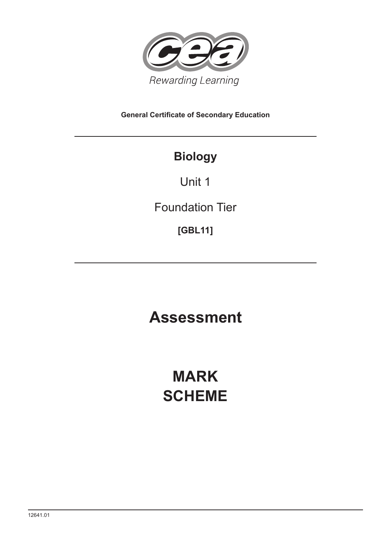

**General Certificate of Secondary Education**

# **Biology**

Unit 1

Foundation Tier

**[GBL11]**

# **Assessment**

# **MARK SCHEME**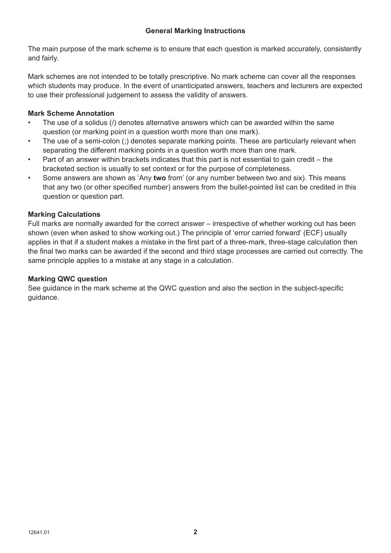The main purpose of the mark scheme is to ensure that each question is marked accurately, consistently and fairly.

Mark schemes are not intended to be totally prescriptive. No mark scheme can cover all the responses which students may produce. In the event of unanticipated answers, teachers and lecturers are expected to use their professional judgement to assess the validity of answers.

# **Mark Scheme Annotation**

- The use of a solidus (/) denotes alternative answers which can be awarded within the same question (or marking point in a question worth more than one mark).
- The use of a semi-colon (;) denotes separate marking points. These are particularly relevant when separating the different marking points in a question worth more than one mark.
- Part of an answer within brackets indicates that this part is not essential to gain credit the bracketed section is usually to set context or for the purpose of completeness.
- Some answers are shown as 'Any **two** from' (or any number between two and six). This means that any two (or other specified number) answers from the bullet-pointed list can be credited in this question or question part.

# **Marking Calculations**

Full marks are normally awarded for the correct answer – irrespective of whether working out has been shown (even when asked to show working out.) The principle of 'error carried forward' (ECF) usually applies in that if a student makes a mistake in the first part of a three-mark, three-stage calculation then the final two marks can be awarded if the second and third stage processes are carried out correctly. The same principle applies to a mistake at any stage in a calculation.

# **Marking QWC question**

See guidance in the mark scheme at the QWC question and also the section in the subject-specific guidance.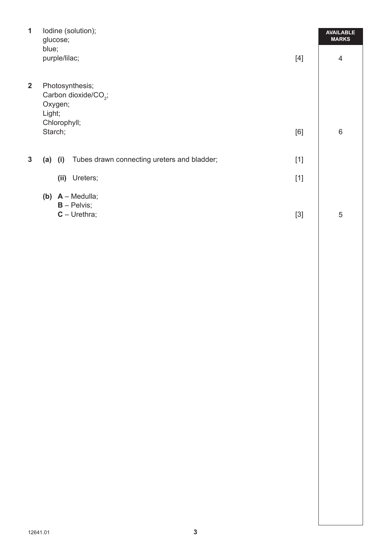| $\mathbf{1}$            | lodine (solution);<br>glucose;                                                           |       |                |  |  |  |
|-------------------------|------------------------------------------------------------------------------------------|-------|----------------|--|--|--|
|                         | blue;<br>purple/lilac;                                                                   | $[4]$ | $\overline{4}$ |  |  |  |
| $\overline{\mathbf{2}}$ | Photosynthesis;<br>Carbon dioxide/CO <sub>2</sub> ;<br>Oxygen;<br>Light;<br>Chlorophyll; |       |                |  |  |  |
|                         | Starch;                                                                                  | [6]   | 6              |  |  |  |
| 3                       | Tubes drawn connecting ureters and bladder;<br>(a)<br>(i)                                | $[1]$ |                |  |  |  |
|                         | (ii)<br>Ureters;                                                                         | $[1]$ |                |  |  |  |
|                         | (b) $A - Medulla;$<br>$B -$ Pelvis;<br>$C - U$ rethra;                                   | $[3]$ | 5              |  |  |  |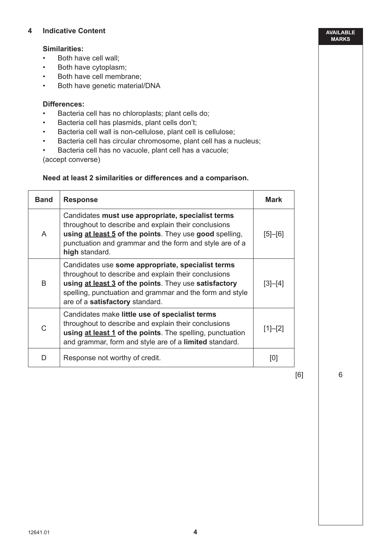### **4 Indicative Content**

#### **Similarities:**

- Both have cell wall;
- Both have cytoplasm;
- Both have cell membrane;
- Both have genetic material/DNA

### **Differences:**

- Bacteria cell has no chloroplasts; plant cells do;
- Bacteria cell has plasmids, plant cells don't;
- Bacteria cell wall is non-cellulose, plant cell is cellulose;
- Bacteria cell has circular chromosome, plant cell has a nucleus;
- Bacteria cell has no vacuole, plant cell has a vacuole;

(accept converse)

#### **Need at least 2 similarities or differences and a comparison.**

| <b>Band</b>  | <b>Response</b>                                                                                                                                                                                                                                                   | <b>Mark</b> |
|--------------|-------------------------------------------------------------------------------------------------------------------------------------------------------------------------------------------------------------------------------------------------------------------|-------------|
| A            | Candidates must use appropriate, specialist terms<br>throughout to describe and explain their conclusions<br>using at least 5 of the points. They use good spelling,<br>punctuation and grammar and the form and style are of a<br>high standard.                 | $[5]-[6]$   |
| <sub>R</sub> | Candidates use some appropriate, specialist terms<br>throughout to describe and explain their conclusions<br>using at least 3 of the points. They use satisfactory<br>spelling, punctuation and grammar and the form and style<br>are of a satisfactory standard. | $[3]-[4]$   |
| C            | Candidates make little use of specialist terms<br>throughout to describe and explain their conclusions<br>using at least 1 of the points. The spelling, punctuation<br>and grammar, form and style are of a limited standard.                                     | $[1]-[2]$   |
| D            | Response not worthy of credit.                                                                                                                                                                                                                                    | [0]         |

[6]

6

**AVAILABLE MARKS**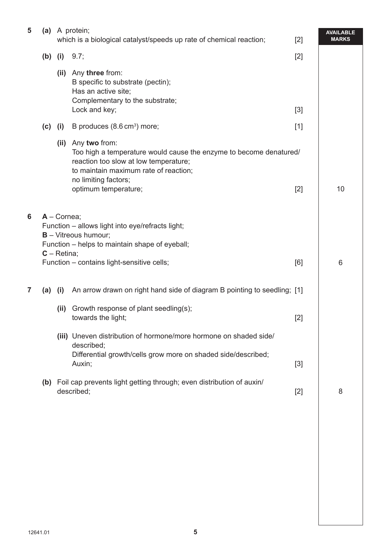| 5 | (a)       |                                 | A protein;<br>which is a biological catalyst/speeds up rate of chemical reaction;                                                                                                                                          | $[2]$ | <b>AVAILABLE</b><br><b>MARKS</b> |
|---|-----------|---------------------------------|----------------------------------------------------------------------------------------------------------------------------------------------------------------------------------------------------------------------------|-------|----------------------------------|
|   | $(b)$ (i) |                                 | 9.7;                                                                                                                                                                                                                       | $[2]$ |                                  |
|   |           |                                 | (ii) Any three from:<br>B specific to substrate (pectin);<br>Has an active site;<br>Complementary to the substrate;<br>Lock and key;                                                                                       | $[3]$ |                                  |
|   | (c)       | (i)                             | B produces (8.6 cm <sup>3</sup> ) more;                                                                                                                                                                                    | $[1]$ |                                  |
|   |           |                                 | (ii) Any two from:<br>Too high a temperature would cause the enzyme to become denatured/<br>reaction too slow at low temperature;<br>to maintain maximum rate of reaction;<br>no limiting factors;<br>optimum temperature; | $[2]$ | 10                               |
| 6 |           | $A -$ Cornea;<br>$C - Retina$ ; | Function - allows light into eye/refracts light;<br><b>B</b> - Vitreous humour;<br>Function - helps to maintain shape of eyeball;<br>Function - contains light-sensitive cells;                                            | [6]   | 6                                |
| 7 | (a)       | (i)                             | An arrow drawn on right hand side of diagram B pointing to seedling; [1]                                                                                                                                                   |       |                                  |
|   |           | (ii)                            | Growth response of plant seedling(s);<br>towards the light;                                                                                                                                                                | $[2]$ |                                  |
|   |           |                                 | (iii) Uneven distribution of hormone/more hormone on shaded side/<br>described;<br>Differential growth/cells grow more on shaded side/described;<br>Auxin;                                                                 | $[3]$ |                                  |
|   | (b)       |                                 | Foil cap prevents light getting through; even distribution of auxin/<br>described;                                                                                                                                         | $[2]$ | 8                                |
|   |           |                                 |                                                                                                                                                                                                                            |       |                                  |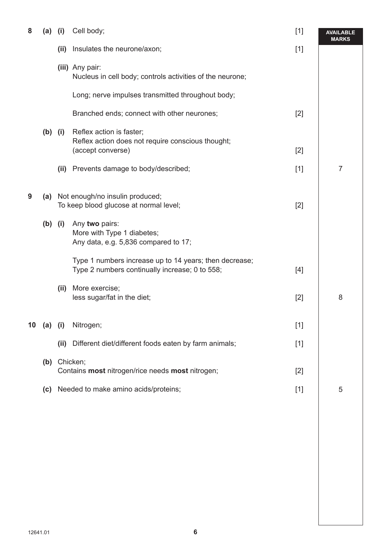| 8  | $(a)$ (i) |      | Cell body;                                                                                               | $[1]$ | <b>AVAILABLE</b><br>MARKS |
|----|-----------|------|----------------------------------------------------------------------------------------------------------|-------|---------------------------|
|    |           | (ii) | Insulates the neurone/axon;                                                                              | $[1]$ |                           |
|    |           |      | (iii) Any pair:<br>Nucleus in cell body; controls activities of the neurone;                             |       |                           |
|    |           |      | Long; nerve impulses transmitted throughout body;                                                        |       |                           |
|    |           |      | Branched ends; connect with other neurones;                                                              | $[2]$ |                           |
|    | $(b)$ (i) |      | Reflex action is faster;<br>Reflex action does not require conscious thought;<br>(accept converse)       | $[2]$ |                           |
|    |           | (ii) | Prevents damage to body/described;                                                                       | $[1]$ | $\overline{7}$            |
| 9  |           |      | (a) Not enough/no insulin produced;<br>To keep blood glucose at normal level;                            | $[2]$ |                           |
|    | $(b)$ (i) |      | Any two pairs:<br>More with Type 1 diabetes;<br>Any data, e.g. 5,836 compared to 17;                     |       |                           |
|    |           |      | Type 1 numbers increase up to 14 years; then decrease;<br>Type 2 numbers continually increase; 0 to 558; | $[4]$ |                           |
|    |           | (ii) | More exercise;<br>less sugar/fat in the diet;                                                            | $[2]$ | 8                         |
| 10 | $(a)$ (i) |      | Nitrogen;                                                                                                | $[1]$ |                           |
|    |           | (ii) | Different diet/different foods eaten by farm animals;                                                    | $[1]$ |                           |
|    | (b)       |      | Chicken;<br>Contains most nitrogen/rice needs most nitrogen;                                             | $[2]$ |                           |
|    | (c)       |      | Needed to make amino acids/proteins;                                                                     | $[1]$ | 5                         |
|    |           |      |                                                                                                          |       |                           |
|    |           |      |                                                                                                          |       |                           |
|    |           |      |                                                                                                          |       |                           |
|    |           |      |                                                                                                          |       |                           |